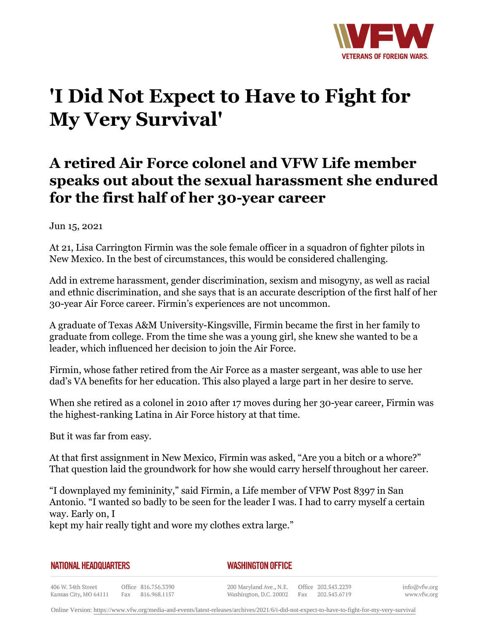

## **'I Did Not Expect to Have to Fight for My Very Survival'**

## **A retired Air Force colonel and VFW Life member speaks out about the sexual harassment she endured for the first half of her 30-year career**

Jun 15, 2021

At 21, Lisa Carrington Firmin was the sole female officer in a squadron of fighter pilots in New Mexico. In the best of circumstances, this would be considered challenging.

Add in extreme harassment, gender discrimination, sexism and misogyny, as well as racial and ethnic discrimination, and she says that is an accurate description of the first half of her 30-year Air Force career. Firmin's experiences are not uncommon.

A graduate of Texas A&M University-Kingsville, Firmin became the first in her family to graduate from college. From the time she was a young girl, she knew she wanted to be a leader, which influenced her decision to join the Air Force.

Firmin, whose father retired from the Air Force as a master sergeant, was able to use her dad's VA benefits for her education. This also played a large part in her desire to serve.

When she retired as a colonel in 2010 after 17 moves during her 30-year career, Firmin was the highest-ranking Latina in Air Force history at that time.

But it was far from easy.

At that first assignment in New Mexico, Firmin was asked, "Are you a bitch or a whore?" That question laid the groundwork for how she would carry herself throughout her career.

"I downplayed my femininity," said Firmin, a Life member of VFW Post 8397 in San Antonio. "I wanted so badly to be seen for the leader I was. I had to carry myself a certain way. Early on, I

kept my hair really tight and wore my clothes extra large."

| NATIONAL HEADQUARTERS |  |
|-----------------------|--|
|-----------------------|--|

*WASHINGTON OFFICE* 

406 W. 34th Street Office 816.756.3390 Fax 816.968.1157 Kansas City, MO 64111

200 Maryland Ave., N.E. Washington, D.C. 20002

Office 202.543.2239 Fax 202.543.6719 info@vfw.org www.vfw.org

Online Version:<https://www.vfw.org/media-and-events/latest-releases/archives/2021/6/i-did-not-expect-to-have-to-fight-for-my-very-survival>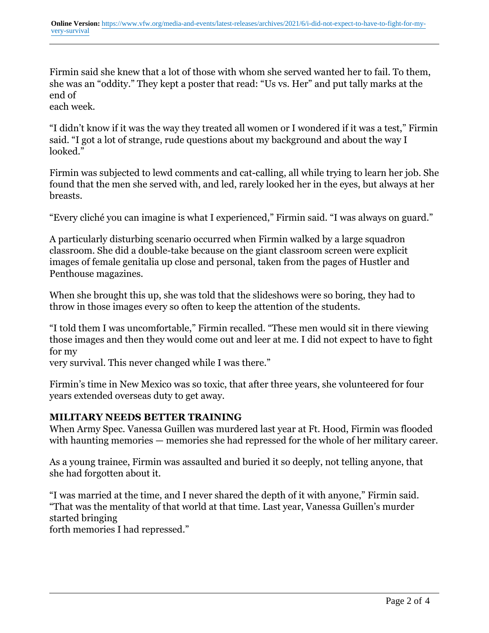Firmin said she knew that a lot of those with whom she served wanted her to fail. To them, she was an "oddity." They kept a poster that read: "Us vs. Her" and put tally marks at the end of

each week.

"I didn't know if it was the way they treated all women or I wondered if it was a test," Firmin said. "I got a lot of strange, rude questions about my background and about the way I looked."

Firmin was subjected to lewd comments and cat-calling, all while trying to learn her job. She found that the men she served with, and led, rarely looked her in the eyes, but always at her breasts.

"Every cliché you can imagine is what I experienced," Firmin said. "I was always on guard."

A particularly disturbing scenario occurred when Firmin walked by a large squadron classroom. She did a double-take because on the giant classroom screen were explicit images of female genitalia up close and personal, taken from the pages of Hustler and Penthouse magazines.

When she brought this up, she was told that the slideshows were so boring, they had to throw in those images every so often to keep the attention of the students.

"I told them I was uncomfortable," Firmin recalled. "These men would sit in there viewing those images and then they would come out and leer at me. I did not expect to have to fight for my

very survival. This never changed while I was there."

Firmin's time in New Mexico was so toxic, that after three years, she volunteered for four years extended overseas duty to get away.

## **MILITARY NEEDS BETTER TRAINING**

When Army Spec. Vanessa Guillen was murdered last year at Ft. Hood, Firmin was flooded with haunting memories — memories she had repressed for the whole of her military career.

As a young trainee, Firmin was assaulted and buried it so deeply, not telling anyone, that she had forgotten about it.

"I was married at the time, and I never shared the depth of it with anyone," Firmin said. "That was the mentality of that world at that time. Last year, Vanessa Guillen's murder started bringing

forth memories I had repressed."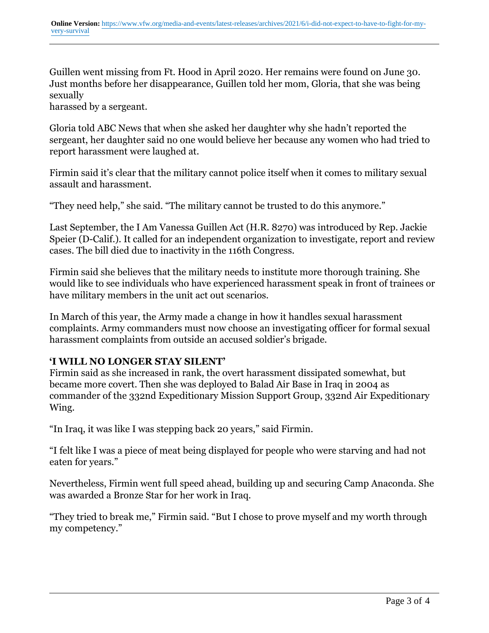Guillen went missing from Ft. Hood in April 2020. Her remains were found on June 30. Just months before her disappearance, Guillen told her mom, Gloria, that she was being sexually

harassed by a sergeant.

Gloria told ABC News that when she asked her daughter why she hadn't reported the sergeant, her daughter said no one would believe her because any women who had tried to report harassment were laughed at.

Firmin said it's clear that the military cannot police itself when it comes to military sexual assault and harassment.

"They need help," she said. "The military cannot be trusted to do this anymore."

Last September, the I Am Vanessa Guillen Act (H.R. 8270) was introduced by Rep. Jackie Speier (D-Calif.). It called for an independent organization to investigate, report and review cases. The bill died due to inactivity in the 116th Congress.

Firmin said she believes that the military needs to institute more thorough training. She would like to see individuals who have experienced harassment speak in front of trainees or have military members in the unit act out scenarios.

In March of this year, the Army made a change in how it handles sexual harassment complaints. Army commanders must now choose an investigating officer for formal sexual harassment complaints from outside an accused soldier's brigade.

## **'I WILL NO LONGER STAY SILENT'**

Firmin said as she increased in rank, the overt harassment dissipated somewhat, but became more covert. Then she was deployed to Balad Air Base in Iraq in 2004 as commander of the 332nd Expeditionary Mission Support Group, 332nd Air Expeditionary Wing.

"In Iraq, it was like I was stepping back 20 years," said Firmin.

"I felt like I was a piece of meat being displayed for people who were starving and had not eaten for years."

Nevertheless, Firmin went full speed ahead, building up and securing Camp Anaconda. She was awarded a Bronze Star for her work in Iraq.

"They tried to break me," Firmin said. "But I chose to prove myself and my worth through my competency."